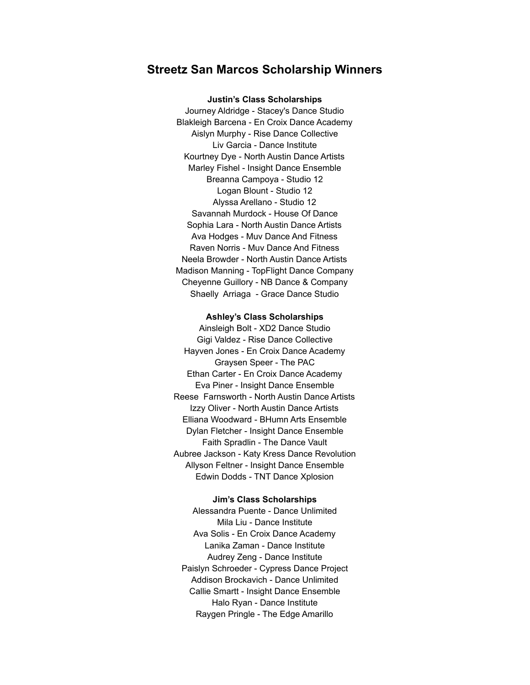# **Streetz San Marcos Scholarship Winners**

**Justin's Class Scholarships** Journey Aldridge - Stacey's Dance Studio Blakleigh Barcena - En Croix Dance Academy Aislyn Murphy - Rise Dance Collective Liv Garcia - Dance Institute Kourtney Dye - North Austin Dance Artists Marley Fishel - Insight Dance Ensemble Breanna Campoya - Studio 12 Logan Blount - Studio 12 Alyssa Arellano - Studio 12 Savannah Murdock - House Of Dance Sophia Lara - North Austin Dance Artists Ava Hodges - Muv Dance And Fitness Raven Norris - Muv Dance And Fitness Neela Browder - North Austin Dance Artists Madison Manning - TopFlight Dance Company Cheyenne Guillory - NB Dance & Company Shaelly Arriaga - Grace Dance Studio

**Ashley's Class Scholarships**

Ainsleigh Bolt - XD2 Dance Studio Gigi Valdez - Rise Dance Collective Hayven Jones - En Croix Dance Academy Graysen Speer - The PAC Ethan Carter - En Croix Dance Academy Eva Piner - Insight Dance Ensemble Reese Farnsworth - North Austin Dance Artists Izzy Oliver - North Austin Dance Artists Elliana Woodward - BHumn Arts Ensemble Dylan Fletcher - Insight Dance Ensemble Faith Spradlin - The Dance Vault Aubree Jackson - Katy Kress Dance Revolution Allyson Feltner - Insight Dance Ensemble Edwin Dodds - TNT Dance Xplosion

**Jim's Class Scholarships**

Alessandra Puente - Dance Unlimited Mila Liu - Dance Institute Ava Solis - En Croix Dance Academy Lanika Zaman - Dance Institute Audrey Zeng - Dance Institute Paislyn Schroeder - Cypress Dance Project Addison Brockavich - Dance Unlimited Callie Smartt - Insight Dance Ensemble Halo Ryan - Dance Institute Raygen Pringle - The Edge Amarillo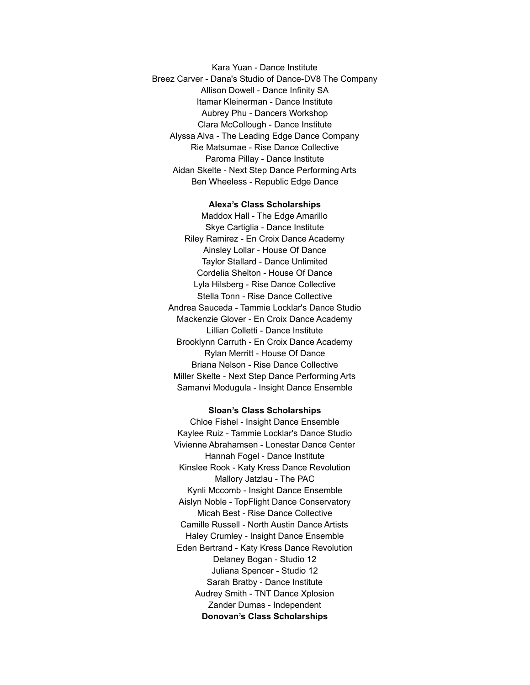Kara Yuan - Dance Institute Breez Carver - Dana's Studio of Dance-DV8 The Company Allison Dowell - Dance Infinity SA Itamar Kleinerman - Dance Institute Aubrey Phu - Dancers Workshop Clara McCollough - Dance Institute Alyssa Alva - The Leading Edge Dance Company Rie Matsumae - Rise Dance Collective Paroma Pillay - Dance Institute Aidan Skelte - Next Step Dance Performing Arts Ben Wheeless - Republic Edge Dance

### **Alexa's Class Scholarships**

Maddox Hall - The Edge Amarillo Skye Cartiglia - Dance Institute Riley Ramirez - En Croix Dance Academy Ainsley Lollar - House Of Dance Taylor Stallard - Dance Unlimited Cordelia Shelton - House Of Dance Lyla Hilsberg - Rise Dance Collective Stella Tonn - Rise Dance Collective Andrea Sauceda - Tammie Locklar's Dance Studio Mackenzie Glover - En Croix Dance Academy Lillian Colletti - Dance Institute Brooklynn Carruth - En Croix Dance Academy Rylan Merritt - House Of Dance Briana Nelson - Rise Dance Collective Miller Skelte - Next Step Dance Performing Arts Samanvi Modugula - Insight Dance Ensemble

## **Sloan's Class Scholarships**

Chloe Fishel - Insight Dance Ensemble Kaylee Ruiz - Tammie Locklar's Dance Studio Vivienne Abrahamsen - Lonestar Dance Center Hannah Fogel - Dance Institute Kinslee Rook - Katy Kress Dance Revolution Mallory Jatzlau - The PAC Kynli Mccomb - Insight Dance Ensemble Aislyn Noble - TopFlight Dance Conservatory Micah Best - Rise Dance Collective Camille Russell - North Austin Dance Artists Haley Crumley - Insight Dance Ensemble Eden Bertrand - Katy Kress Dance Revolution Delaney Bogan - Studio 12 Juliana Spencer - Studio 12 Sarah Bratby - Dance Institute Audrey Smith - TNT Dance Xplosion Zander Dumas - Independent **Donovan's Class Scholarships**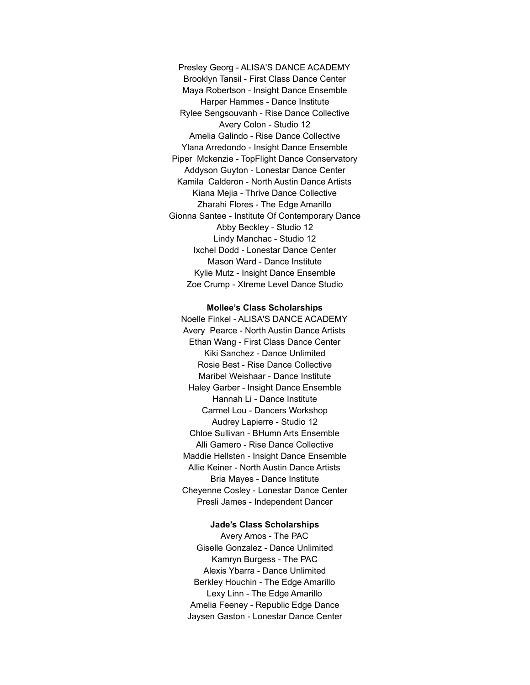Presley Georg - ALISA'S DANCE ACADEMY Brooklyn Tansil - First Class Dance Center Maya Robertson - Insight Dance Ensemble Harper Hammes - Dance Institute Rylee Sengsouvanh - Rise Dance Collective Avery Colon - Studio 12 Amelia Galindo - Rise Dance Collective Ylana Arredondo - Insight Dance Ensemble Piper Mckenzie - TopFlight Dance Conservatory Addyson Guyton - Lonestar Dance Center Kamila Calderon - North Austin Dance Artists Kiana Mejia - Thrive Dance Collective Zharahi Flores - The Edge Amarillo Gionna Santee - Institute Of Contemporary Dance Abby Beckley - Studio 12 Lindy Manchac - Studio 12 Ixchel Dodd - Lonestar Dance Center Mason Ward - Dance Institute Kylie Mutz - Insight Dance Ensemble Zoe Crump - Xtreme Level Dance Studio

#### **Mollee's Class Scholarships**

Noelle Finkel - ALISA'S DANCE ACADEMY Avery Pearce - North Austin Dance Artists Ethan Wang - First Class Dance Center Kiki Sanchez - Dance Unlimited Rosie Best - Rise Dance Collective Maribel Weishaar - Dance Institute Haley Garber - Insight Dance Ensemble Hannah Li - Dance Institute Carmel Lou - Dancers Workshop Audrey Lapierre - Studio 12 Chloe Sullivan - BHumn Arts Ensemble Alli Gamero - Rise Dance Collective Maddie Hellsten - Insight Dance Ensemble Allie Keiner - North Austin Dance Artists Bria Mayes - Dance Institute Cheyenne Cosley - Lonestar Dance Center Presli James - Independent Dancer

## **Jade's Class Scholarships**

Avery Amos - The PAC Giselle Gonzalez - Dance Unlimited Kamryn Burgess - The PAC Alexis Ybarra - Dance Unlimited Berkley Houchin - The Edge Amarillo Lexy Linn - The Edge Amarillo Amelia Feeney - Republic Edge Dance Jaysen Gaston - Lonestar Dance Center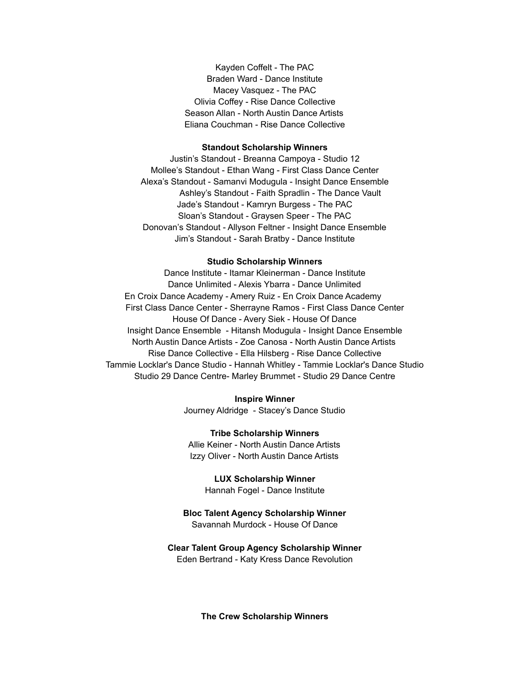Kayden Coffelt - The PAC Braden Ward - Dance Institute Macey Vasquez - The PAC Olivia Coffey - Rise Dance Collective Season Allan - North Austin Dance Artists Eliana Couchman - Rise Dance Collective

#### **Standout Scholarship Winners**

Justin's Standout - Breanna Campoya - Studio 12 Mollee's Standout - Ethan Wang - First Class Dance Center Alexa's Standout - Samanvi Modugula - Insight Dance Ensemble Ashley's Standout - Faith Spradlin - The Dance Vault Jade's Standout - Kamryn Burgess - The PAC Sloan's Standout - Graysen Speer - The PAC Donovan's Standout - Allyson Feltner - Insight Dance Ensemble Jim's Standout - Sarah Bratby - Dance Institute

### **Studio Scholarship Winners**

Dance Institute - Itamar Kleinerman - Dance Institute Dance Unlimited - Alexis Ybarra - Dance Unlimited En Croix Dance Academy - Amery Ruiz - En Croix Dance Academy First Class Dance Center - Sherrayne Ramos - First Class Dance Center House Of Dance - Avery Siek - House Of Dance Insight Dance Ensemble - Hitansh Modugula - Insight Dance Ensemble North Austin Dance Artists - Zoe Canosa - North Austin Dance Artists Rise Dance Collective - Ella Hilsberg - Rise Dance Collective Tammie Locklar's Dance Studio - Hannah Whitley - Tammie Locklar's Dance Studio Studio 29 Dance Centre- Marley Brummet - Studio 29 Dance Centre

**Inspire Winner**

Journey Aldridge - Stacey's Dance Studio

**Tribe Scholarship Winners** Allie Keiner - North Austin Dance Artists Izzy Oliver - North Austin Dance Artists

> **LUX Scholarship Winner** Hannah Fogel - Dance Institute

# **Bloc Talent Agency Scholarship Winner**

Savannah Murdock - House Of Dance

## **Clear Talent Group Agency Scholarship Winner**

Eden Bertrand - Katy Kress Dance Revolution

**The Crew Scholarship Winners**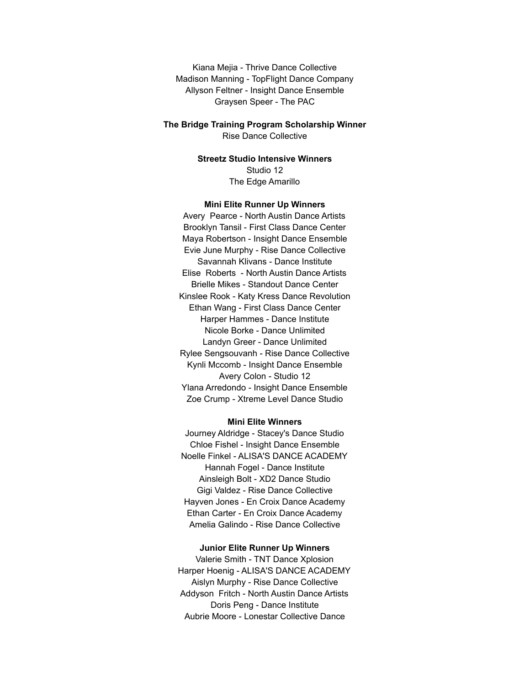Kiana Mejia - Thrive Dance Collective Madison Manning - TopFlight Dance Company Allyson Feltner - Insight Dance Ensemble Graysen Speer - The PAC

**The Bridge Training Program Scholarship Winner** Rise Dance Collective

> **Streetz Studio Intensive Winners** Studio 12 The Edge Amarillo

#### **Mini Elite Runner Up Winners**

Avery Pearce - North Austin Dance Artists Brooklyn Tansil - First Class Dance Center Maya Robertson - Insight Dance Ensemble Evie June Murphy - Rise Dance Collective Savannah Klivans - Dance Institute Elise Roberts - North Austin Dance Artists Brielle Mikes - Standout Dance Center Kinslee Rook - Katy Kress Dance Revolution Ethan Wang - First Class Dance Center Harper Hammes - Dance Institute Nicole Borke - Dance Unlimited Landyn Greer - Dance Unlimited Rylee Sengsouvanh - Rise Dance Collective Kynli Mccomb - Insight Dance Ensemble Avery Colon - Studio 12 Ylana Arredondo - Insight Dance Ensemble Zoe Crump - Xtreme Level Dance Studio

#### **Mini Elite Winners**

Journey Aldridge - Stacey's Dance Studio Chloe Fishel - Insight Dance Ensemble Noelle Finkel - ALISA'S DANCE ACADEMY Hannah Fogel - Dance Institute Ainsleigh Bolt - XD2 Dance Studio Gigi Valdez - Rise Dance Collective Hayven Jones - En Croix Dance Academy Ethan Carter - En Croix Dance Academy Amelia Galindo - Rise Dance Collective

### **Junior Elite Runner Up Winners**

Valerie Smith - TNT Dance Xplosion Harper Hoenig - ALISA'S DANCE ACADEMY Aislyn Murphy - Rise Dance Collective Addyson Fritch - North Austin Dance Artists Doris Peng - Dance Institute Aubrie Moore - Lonestar Collective Dance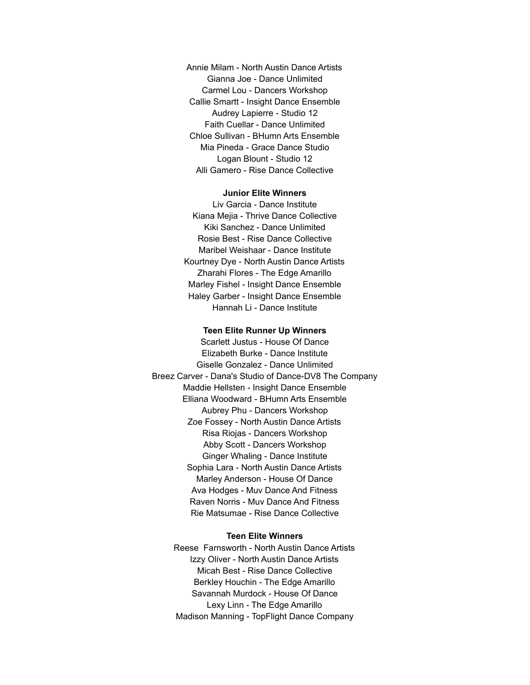Annie Milam - North Austin Dance Artists Gianna Joe - Dance Unlimited Carmel Lou - Dancers Workshop Callie Smartt - Insight Dance Ensemble Audrey Lapierre - Studio 12 Faith Cuellar - Dance Unlimited Chloe Sullivan - BHumn Arts Ensemble Mia Pineda - Grace Dance Studio Logan Blount - Studio 12 Alli Gamero - Rise Dance Collective

### **Junior Elite Winners**

Liv Garcia - Dance Institute Kiana Mejia - Thrive Dance Collective Kiki Sanchez - Dance Unlimited Rosie Best - Rise Dance Collective Maribel Weishaar - Dance Institute Kourtney Dye - North Austin Dance Artists Zharahi Flores - The Edge Amarillo Marley Fishel - Insight Dance Ensemble Haley Garber - Insight Dance Ensemble Hannah Li - Dance Institute

#### **Teen Elite Runner Up Winners**

Scarlett Justus - House Of Dance Elizabeth Burke - Dance Institute Giselle Gonzalez - Dance Unlimited Breez Carver - Dana's Studio of Dance-DV8 The Company Maddie Hellsten - Insight Dance Ensemble Elliana Woodward - BHumn Arts Ensemble Aubrey Phu - Dancers Workshop Zoe Fossey - North Austin Dance Artists Risa Riojas - Dancers Workshop Abby Scott - Dancers Workshop Ginger Whaling - Dance Institute Sophia Lara - North Austin Dance Artists Marley Anderson - House Of Dance Ava Hodges - Muv Dance And Fitness Raven Norris - Muv Dance And Fitness Rie Matsumae - Rise Dance Collective

## **Teen Elite Winners**

Reese Farnsworth - North Austin Dance Artists Izzy Oliver - North Austin Dance Artists Micah Best - Rise Dance Collective Berkley Houchin - The Edge Amarillo Savannah Murdock - House Of Dance Lexy Linn - The Edge Amarillo Madison Manning - TopFlight Dance Company